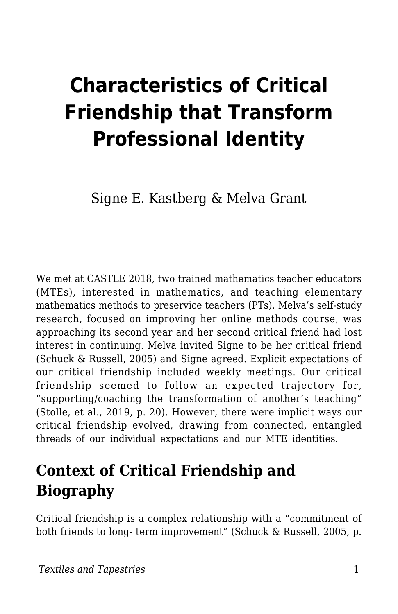# **Characteristics of Critical Friendship that Transform Professional Identity**

Signe E. Kastberg & Melva Grant

We met at CASTLE 2018, two trained mathematics teacher educators (MTEs), interested in mathematics, and teaching elementary mathematics methods to preservice teachers (PTs). Melva's self-study research, focused on improving her online methods course, was approaching its second year and her second critical friend had lost interest in continuing. Melva invited Signe to be her critical friend (Schuck & Russell, 2005) and Signe agreed. Explicit expectations of our critical friendship included weekly meetings. Our critical friendship seemed to follow an expected trajectory for, "supporting/coaching the transformation of another's teaching" (Stolle, et al., 2019, p. 20). However, there were implicit ways our critical friendship evolved, drawing from connected, entangled threads of our individual expectations and our MTE identities.

# **Context of Critical Friendship and Biography**

Critical friendship is a complex relationship with a "commitment of both friends to long- term improvement" (Schuck & Russell, 2005, p.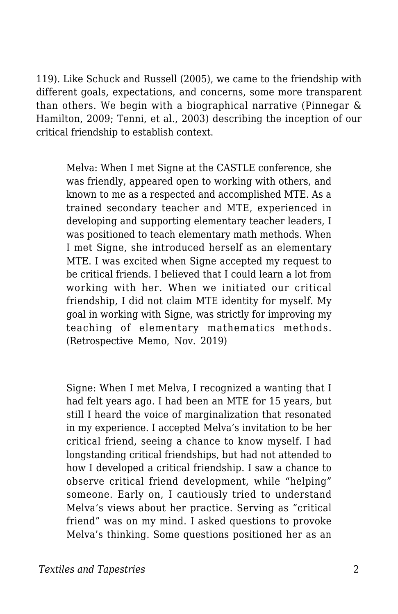119). Like Schuck and Russell (2005), we came to the friendship with different goals, expectations, and concerns, some more transparent than others. We begin with a biographical narrative (Pinnegar & Hamilton, 2009; Tenni, et al., 2003) describing the inception of our critical friendship to establish context.

Melva: When I met Signe at the CASTLE conference, she was friendly, appeared open to working with others, and known to me as a respected and accomplished MTE. As a trained secondary teacher and MTE, experienced in developing and supporting elementary teacher leaders, I was positioned to teach elementary math methods. When I met Signe, she introduced herself as an elementary MTE. I was excited when Signe accepted my request to be critical friends. I believed that I could learn a lot from working with her. When we initiated our critical friendship, I did not claim MTE identity for myself. My goal in working with Signe, was strictly for improving my teaching of elementary mathematics methods. (Retrospective Memo, Nov. 2019)

Signe: When I met Melva, I recognized a wanting that I had felt years ago. I had been an MTE for 15 years, but still I heard the voice of marginalization that resonated in my experience. I accepted Melva's invitation to be her critical friend, seeing a chance to know myself. I had longstanding critical friendships, but had not attended to how I developed a critical friendship. I saw a chance to observe critical friend development, while "helping" someone. Early on, I cautiously tried to understand Melva's views about her practice. Serving as "critical friend" was on my mind. I asked questions to provoke Melva's thinking. Some questions positioned her as an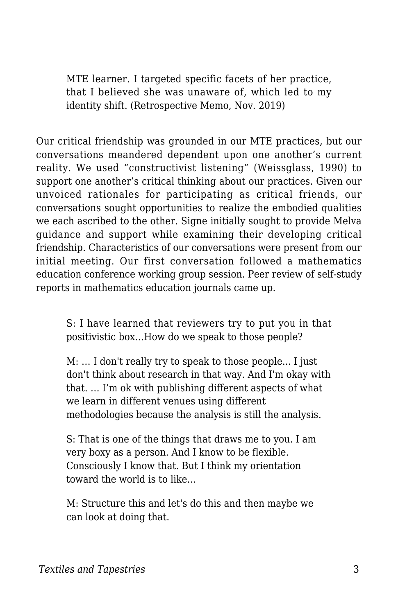MTE learner. I targeted specific facets of her practice, that I believed she was unaware of, which led to my identity shift. (Retrospective Memo, Nov. 2019)

Our critical friendship was grounded in our MTE practices, but our conversations meandered dependent upon one another's current reality. We used "constructivist listening" (Weissglass, 1990) to support one another's critical thinking about our practices. Given our unvoiced rationales for participating as critical friends, our conversations sought opportunities to realize the embodied qualities we each ascribed to the other. Signe initially sought to provide Melva guidance and support while examining their developing critical friendship. Characteristics of our conversations were present from our initial meeting. Our first conversation followed a mathematics education conference working group session. Peer review of self-study reports in mathematics education journals came up.

S: I have learned that reviewers try to put you in that positivistic box…How do we speak to those people?

M: … I don't really try to speak to those people... I just don't think about research in that way. And I'm okay with that. … I'm ok with publishing different aspects of what we learn in different venues using different methodologies because the analysis is still the analysis.

S: That is one of the things that draws me to you. I am very boxy as a person. And I know to be flexible. Consciously I know that. But I think my orientation toward the world is to like…

M: Structure this and let's do this and then maybe we can look at doing that.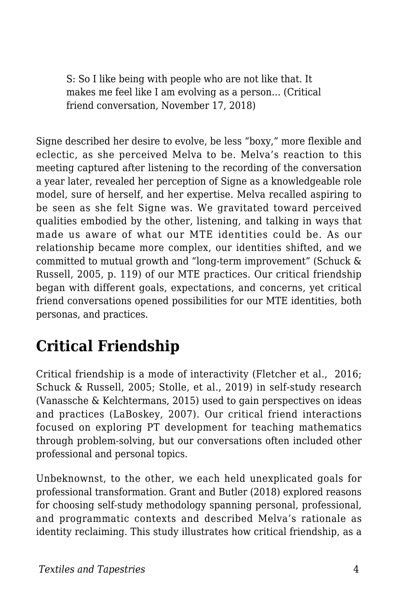S: So I like being with people who are not like that. It makes me feel like I am evolving as a person… (Critical friend conversation, November 17, 2018)

Signe described her desire to evolve, be less "boxy," more flexible and eclectic, as she perceived Melva to be. Melva's reaction to this meeting captured after listening to the recording of the conversation a year later, revealed her perception of Signe as a knowledgeable role model, sure of herself, and her expertise. Melva recalled aspiring to be seen as she felt Signe was. We gravitated toward perceived qualities embodied by the other, listening, and talking in ways that made us aware of what our MTE identities could be. As our relationship became more complex, our identities shifted, and we committed to mutual growth and "long-term improvement" (Schuck & Russell, 2005, p. 119) of our MTE practices. Our critical friendship began with different goals, expectations, and concerns, yet critical friend conversations opened possibilities for our MTE identities, both personas, and practices.

# **Critical Friendship**

Critical friendship is a mode of interactivity (Fletcher et al., 2016; Schuck & Russell, 2005; Stolle, et al., 2019) in self-study research (Vanassche & Kelchtermans, 2015) used to gain perspectives on ideas and practices (LaBoskey, 2007). Our critical friend interactions focused on exploring PT development for teaching mathematics through problem-solving, but our conversations often included other professional and personal topics.

Unbeknownst, to the other, we each held unexplicated goals for professional transformation. Grant and Butler (2018) explored reasons for choosing self-study methodology spanning personal, professional, and programmatic contexts and described Melva's rationale as identity reclaiming. This study illustrates how critical friendship, as a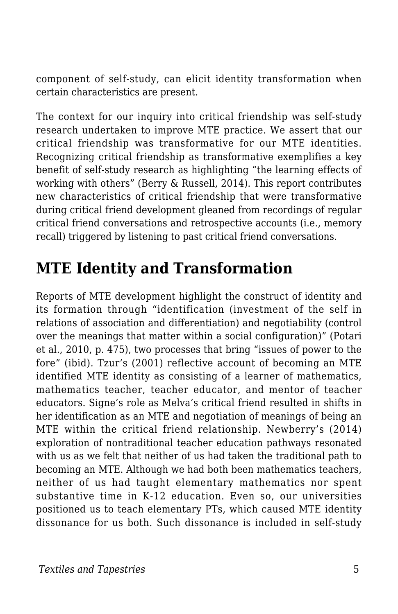component of self-study, can elicit identity transformation when certain characteristics are present.

The context for our inquiry into critical friendship was self-study research undertaken to improve MTE practice. We assert that our critical friendship was transformative for our MTE identities. Recognizing critical friendship as transformative exemplifies a key benefit of self-study research as highlighting "the learning effects of working with others" (Berry & Russell, 2014). This report contributes new characteristics of critical friendship that were transformative during critical friend development gleaned from recordings of regular critical friend conversations and retrospective accounts (i.e., memory recall) triggered by listening to past critical friend conversations.

# **MTE Identity and Transformation**

Reports of MTE development highlight the construct of identity and its formation through "identification (investment of the self in relations of association and differentiation) and negotiability (control over the meanings that matter within a social configuration)" (Potari et al., 2010, p. 475), two processes that bring "issues of power to the fore" (ibid). Tzur's (2001) reflective account of becoming an MTE identified MTE identity as consisting of a learner of mathematics, mathematics teacher, teacher educator, and mentor of teacher educators. Signe's role as Melva's critical friend resulted in shifts in her identification as an MTE and negotiation of meanings of being an MTE within the critical friend relationship. Newberry's (2014) exploration of nontraditional teacher education pathways resonated with us as we felt that neither of us had taken the traditional path to becoming an MTE. Although we had both been mathematics teachers, neither of us had taught elementary mathematics nor spent substantive time in K-12 education. Even so, our universities positioned us to teach elementary PTs, which caused MTE identity dissonance for us both. Such dissonance is included in self-study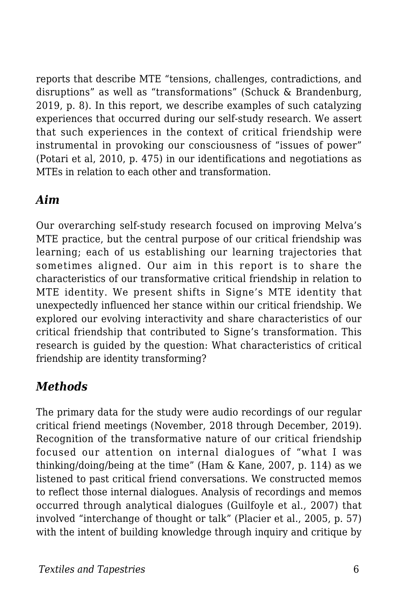reports that describe MTE "tensions, challenges, contradictions, and disruptions" as well as "transformations" (Schuck & Brandenburg, 2019, p. 8). In this report, we describe examples of such catalyzing experiences that occurred during our self-study research. We assert that such experiences in the context of critical friendship were instrumental in provoking our consciousness of "issues of power" (Potari et al, 2010, p. 475) in our identifications and negotiations as MTEs in relation to each other and transformation.

#### *Aim*

Our overarching self-study research focused on improving Melva's MTE practice, but the central purpose of our critical friendship was learning; each of us establishing our learning trajectories that sometimes aligned. Our aim in this report is to share the characteristics of our transformative critical friendship in relation to MTE identity. We present shifts in Signe's MTE identity that unexpectedly influenced her stance within our critical friendship. We explored our evolving interactivity and share characteristics of our critical friendship that contributed to Signe's transformation. This research is guided by the question: What characteristics of critical friendship are identity transforming?

### *Methods*

The primary data for the study were audio recordings of our regular critical friend meetings (November, 2018 through December, 2019). Recognition of the transformative nature of our critical friendship focused our attention on internal dialogues of "what I was thinking/doing/being at the time" (Ham & Kane, 2007, p. 114) as we listened to past critical friend conversations. We constructed memos to reflect those internal dialogues. Analysis of recordings and memos occurred through analytical dialogues (Guilfoyle et al., 2007) that involved "interchange of thought or talk" (Placier et al., 2005, p. 57) with the intent of building knowledge through inquiry and critique by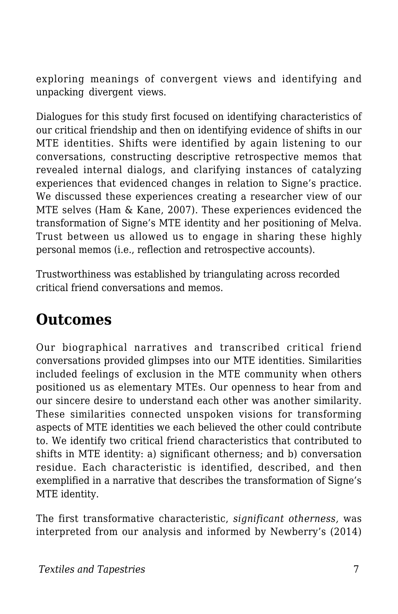exploring meanings of convergent views and identifying and unpacking divergent views.

Dialogues for this study first focused on identifying characteristics of our critical friendship and then on identifying evidence of shifts in our MTE identities. Shifts were identified by again listening to our conversations, constructing descriptive retrospective memos that revealed internal dialogs, and clarifying instances of catalyzing experiences that evidenced changes in relation to Signe's practice. We discussed these experiences creating a researcher view of our MTE selves (Ham & Kane, 2007). These experiences evidenced the transformation of Signe's MTE identity and her positioning of Melva. Trust between us allowed us to engage in sharing these highly personal memos (i.e., reflection and retrospective accounts).

Trustworthiness was established by triangulating across recorded critical friend conversations and memos.

## **Outcomes**

Our biographical narratives and transcribed critical friend conversations provided glimpses into our MTE identities. Similarities included feelings of exclusion in the MTE community when others positioned us as elementary MTEs. Our openness to hear from and our sincere desire to understand each other was another similarity. These similarities connected unspoken visions for transforming aspects of MTE identities we each believed the other could contribute to. We identify two critical friend characteristics that contributed to shifts in MTE identity: a) significant otherness; and b) conversation residue. Each characteristic is identified, described, and then exemplified in a narrative that describes the transformation of Signe's MTE identity.

The first transformative characteristic, *significant otherness,* was interpreted from our analysis and informed by Newberry's (2014)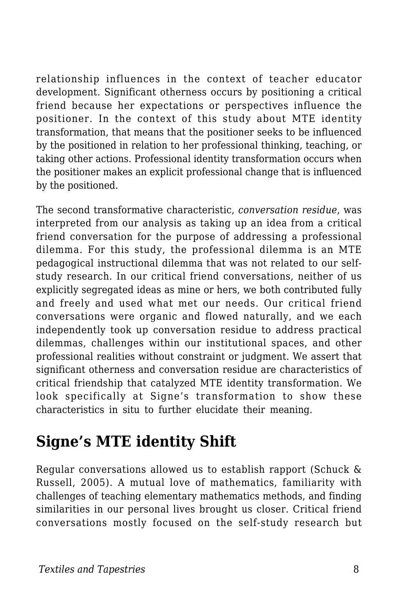relationship influences in the context of teacher educator development. Significant otherness occurs by positioning a critical friend because her expectations or perspectives influence the positioner. In the context of this study about MTE identity transformation, that means that the positioner seeks to be influenced by the positioned in relation to her professional thinking, teaching, or taking other actions. Professional identity transformation occurs when the positioner makes an explicit professional change that is influenced by the positioned.

The second transformative characteristic, *conversation residue*, was interpreted from our analysis as taking up an idea from a critical friend conversation for the purpose of addressing a professional dilemma. For this study, the professional dilemma is an MTE pedagogical instructional dilemma that was not related to our selfstudy research. In our critical friend conversations, neither of us explicitly segregated ideas as mine or hers, we both contributed fully and freely and used what met our needs. Our critical friend conversations were organic and flowed naturally, and we each independently took up conversation residue to address practical dilemmas, challenges within our institutional spaces, and other professional realities without constraint or judgment. We assert that significant otherness and conversation residue are characteristics of critical friendship that catalyzed MTE identity transformation. We look specifically at Signe's transformation to show these characteristics in situ to further elucidate their meaning.

# **Signe's MTE identity Shift**

Regular conversations allowed us to establish rapport (Schuck & Russell, 2005). A mutual love of mathematics, familiarity with challenges of teaching elementary mathematics methods, and finding similarities in our personal lives brought us closer. Critical friend conversations mostly focused on the self-study research but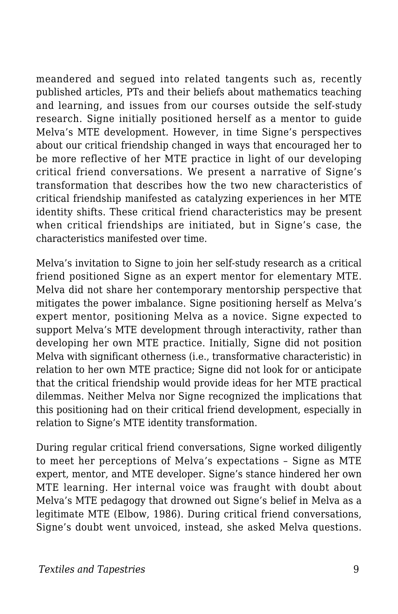meandered and segued into related tangents such as, recently published articles, PTs and their beliefs about mathematics teaching and learning, and issues from our courses outside the self-study research. Signe initially positioned herself as a mentor to guide Melva's MTE development. However, in time Signe's perspectives about our critical friendship changed in ways that encouraged her to be more reflective of her MTE practice in light of our developing critical friend conversations. We present a narrative of Signe's transformation that describes how the two new characteristics of critical friendship manifested as catalyzing experiences in her MTE identity shifts. These critical friend characteristics may be present when critical friendships are initiated, but in Signe's case, the characteristics manifested over time.

Melva's invitation to Signe to join her self-study research as a critical friend positioned Signe as an expert mentor for elementary MTE. Melva did not share her contemporary mentorship perspective that mitigates the power imbalance. Signe positioning herself as Melva's expert mentor, positioning Melva as a novice. Signe expected to support Melva's MTE development through interactivity, rather than developing her own MTE practice. Initially, Signe did not position Melva with significant otherness (i.e., transformative characteristic) in relation to her own MTE practice; Signe did not look for or anticipate that the critical friendship would provide ideas for her MTE practical dilemmas. Neither Melva nor Signe recognized the implications that this positioning had on their critical friend development, especially in relation to Signe's MTE identity transformation.

During regular critical friend conversations, Signe worked diligently to meet her perceptions of Melva's expectations – Signe as MTE expert, mentor, and MTE developer. Signe's stance hindered her own MTE learning. Her internal voice was fraught with doubt about Melva's MTE pedagogy that drowned out Signe's belief in Melva as a legitimate MTE (Elbow, 1986). During critical friend conversations, Signe's doubt went unvoiced, instead, she asked Melva questions.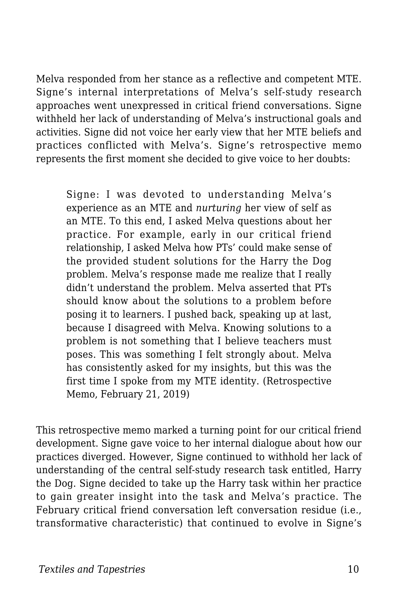Melva responded from her stance as a reflective and competent MTE. Signe's internal interpretations of Melva's self-study research approaches went unexpressed in critical friend conversations. Signe withheld her lack of understanding of Melva's instructional goals and activities. Signe did not voice her early view that her MTE beliefs and practices conflicted with Melva's. Signe's retrospective memo represents the first moment she decided to give voice to her doubts:

Signe: I was devoted to understanding Melva's experience as an MTE and *nurturing* her view of self as an MTE. To this end, I asked Melva questions about her practice. For example, early in our critical friend relationship, I asked Melva how PTs' could make sense of the provided student solutions for the Harry the Dog problem. Melva's response made me realize that I really didn't understand the problem. Melva asserted that PTs should know about the solutions to a problem before posing it to learners. I pushed back, speaking up at last, because I disagreed with Melva. Knowing solutions to a problem is not something that I believe teachers must poses. This was something I felt strongly about. Melva has consistently asked for my insights, but this was the first time I spoke from my MTE identity. (Retrospective Memo, February 21, 2019)

This retrospective memo marked a turning point for our critical friend development. Signe gave voice to her internal dialogue about how our practices diverged. However, Signe continued to withhold her lack of understanding of the central self-study research task entitled, Harry the Dog. Signe decided to take up the Harry task within her practice to gain greater insight into the task and Melva's practice. The February critical friend conversation left conversation residue (i.e., transformative characteristic) that continued to evolve in Signe's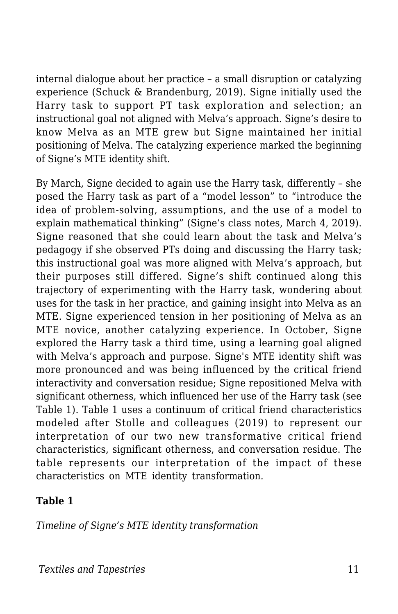internal dialogue about her practice – a small disruption or catalyzing experience (Schuck & Brandenburg, 2019). Signe initially used the Harry task to support PT task exploration and selection; an instructional goal not aligned with Melva's approach. Signe's desire to know Melva as an MTE grew but Signe maintained her initial positioning of Melva. The catalyzing experience marked the beginning of Signe's MTE identity shift.

By March, Signe decided to again use the Harry task, differently – she posed the Harry task as part of a "model lesson" to "introduce the idea of problem-solving, assumptions, and the use of a model to explain mathematical thinking" (Signe's class notes, March 4, 2019). Signe reasoned that she could learn about the task and Melva's pedagogy if she observed PTs doing and discussing the Harry task; this instructional goal was more aligned with Melva's approach, but their purposes still differed. Signe's shift continued along this trajectory of experimenting with the Harry task, wondering about uses for the task in her practice, and gaining insight into Melva as an MTE. Signe experienced tension in her positioning of Melva as an MTE novice, another catalyzing experience. In October, Signe explored the Harry task a third time, using a learning goal aligned with Melva's approach and purpose. Signe's MTE identity shift was more pronounced and was being influenced by the critical friend interactivity and conversation residue; Signe repositioned Melva with significant otherness, which influenced her use of the Harry task (see Table 1). Table 1 uses a continuum of critical friend characteristics modeled after Stolle and colleagues (2019) to represent our interpretation of our two new transformative critical friend characteristics, significant otherness, and conversation residue. The table represents our interpretation of the impact of these characteristics on MTE identity transformation.

#### **Table 1**

*Timeline of Signe's MTE identity transformation*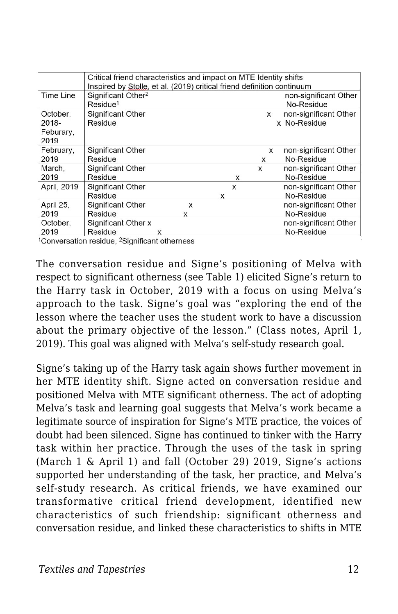|             | Critical friend characteristics and impact on MTE Identity shifts      |   |   |   |   |   |  |                       |
|-------------|------------------------------------------------------------------------|---|---|---|---|---|--|-----------------------|
|             | Inspired by Stolle, et al. (2019) critical friend definition continuum |   |   |   |   |   |  |                       |
| Time Line   | Significant Other <sup>2</sup>                                         |   |   |   |   |   |  | non-significant Other |
|             | Residue <sup>1</sup>                                                   |   |   |   |   |   |  | No-Residue            |
| October.    | <b>Significant Other</b>                                               |   |   |   |   | X |  | non-significant Other |
| 2018-       | Residue                                                                |   |   |   |   |   |  | x No-Residue          |
| Feburary,   |                                                                        |   |   |   |   |   |  |                       |
| 2019        |                                                                        |   |   |   |   |   |  |                       |
| February,   | Significant Other                                                      |   |   |   |   | x |  | non-significant Other |
| 2019        | Residue                                                                |   |   |   |   | x |  | No-Residue            |
| March.      | Significant Other                                                      |   |   |   |   | X |  | non-significant Other |
| 2019        | Residue                                                                |   |   |   | X |   |  | No-Residue            |
| April, 2019 | Significant Other                                                      |   |   |   | X |   |  | non-significant Other |
|             | Residue                                                                |   |   | X |   |   |  | No-Residue            |
| April 25.   | Significant Other                                                      |   | X |   |   |   |  | non-significant Other |
| 2019        | Residue                                                                |   | x |   |   |   |  | No-Residue            |
| October,    | Significant Other x                                                    |   |   |   |   |   |  | non-significant Other |
| 2019        | Residue                                                                | x |   |   |   |   |  | No-Residue            |

<sup>1</sup>Conversation residue; <sup>2</sup>Significant otherness

The conversation residue and Signe's positioning of Melva with respect to significant otherness (see Table 1) elicited Signe's return to the Harry task in October, 2019 with a focus on using Melva's approach to the task. Signe's goal was "exploring the end of the lesson where the teacher uses the student work to have a discussion about the primary objective of the lesson." (Class notes, April 1, 2019). This goal was aligned with Melva's self-study research goal.

Signe's taking up of the Harry task again shows further movement in her MTE identity shift. Signe acted on conversation residue and positioned Melva with MTE significant otherness. The act of adopting Melva's task and learning goal suggests that Melva's work became a legitimate source of inspiration for Signe's MTE practice, the voices of doubt had been silenced. Signe has continued to tinker with the Harry task within her practice. Through the uses of the task in spring (March 1 & April 1) and fall (October 29) 2019, Signe's actions supported her understanding of the task, her practice, and Melva's self-study research. As critical friends, we have examined our transformative critical friend development, identified new characteristics of such friendship: significant otherness and conversation residue, and linked these characteristics to shifts in MTE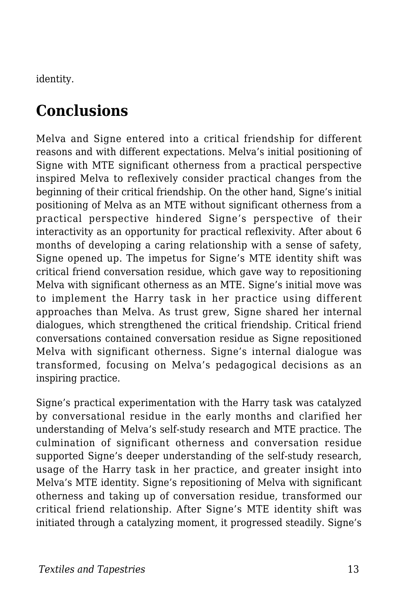identity.

# **Conclusions**

Melva and Signe entered into a critical friendship for different reasons and with different expectations. Melva's initial positioning of Signe with MTE significant otherness from a practical perspective inspired Melva to reflexively consider practical changes from the beginning of their critical friendship. On the other hand, Signe's initial positioning of Melva as an MTE without significant otherness from a practical perspective hindered Signe's perspective of their interactivity as an opportunity for practical reflexivity. After about 6 months of developing a caring relationship with a sense of safety, Signe opened up. The impetus for Signe's MTE identity shift was critical friend conversation residue, which gave way to repositioning Melva with significant otherness as an MTE. Signe's initial move was to implement the Harry task in her practice using different approaches than Melva. As trust grew, Signe shared her internal dialogues, which strengthened the critical friendship. Critical friend conversations contained conversation residue as Signe repositioned Melva with significant otherness. Signe's internal dialogue was transformed, focusing on Melva's pedagogical decisions as an inspiring practice.

Signe's practical experimentation with the Harry task was catalyzed by conversational residue in the early months and clarified her understanding of Melva's self-study research and MTE practice. The culmination of significant otherness and conversation residue supported Signe's deeper understanding of the self-study research, usage of the Harry task in her practice, and greater insight into Melva's MTE identity. Signe's repositioning of Melva with significant otherness and taking up of conversation residue, transformed our critical friend relationship. After Signe's MTE identity shift was initiated through a catalyzing moment, it progressed steadily. Signe's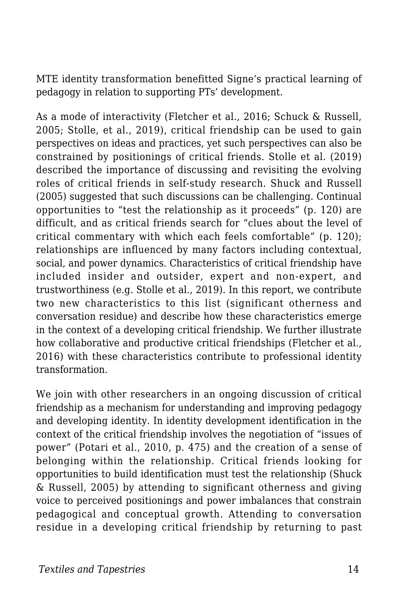MTE identity transformation benefitted Signe's practical learning of pedagogy in relation to supporting PTs' development.

As a mode of interactivity (Fletcher et al., 2016; Schuck & Russell, 2005; Stolle, et al., 2019), critical friendship can be used to gain perspectives on ideas and practices, yet such perspectives can also be constrained by positionings of critical friends. Stolle et al. (2019) described the importance of discussing and revisiting the evolving roles of critical friends in self-study research. Shuck and Russell (2005) suggested that such discussions can be challenging. Continual opportunities to "test the relationship as it proceeds" (p. 120) are difficult, and as critical friends search for "clues about the level of critical commentary with which each feels comfortable" (p. 120); relationships are influenced by many factors including contextual, social, and power dynamics. Characteristics of critical friendship have included insider and outsider, expert and non-expert, and trustworthiness (e.g. Stolle et al., 2019). In this report, we contribute two new characteristics to this list (significant otherness and conversation residue) and describe how these characteristics emerge in the context of a developing critical friendship. We further illustrate how collaborative and productive critical friendships (Fletcher et al., 2016) with these characteristics contribute to professional identity transformation.

We join with other researchers in an ongoing discussion of critical friendship as a mechanism for understanding and improving pedagogy and developing identity. In identity development identification in the context of the critical friendship involves the negotiation of "issues of power" (Potari et al., 2010, p. 475) and the creation of a sense of belonging within the relationship. Critical friends looking for opportunities to build identification must test the relationship (Shuck & Russell, 2005) by attending to significant otherness and giving voice to perceived positionings and power imbalances that constrain pedagogical and conceptual growth. Attending to conversation residue in a developing critical friendship by returning to past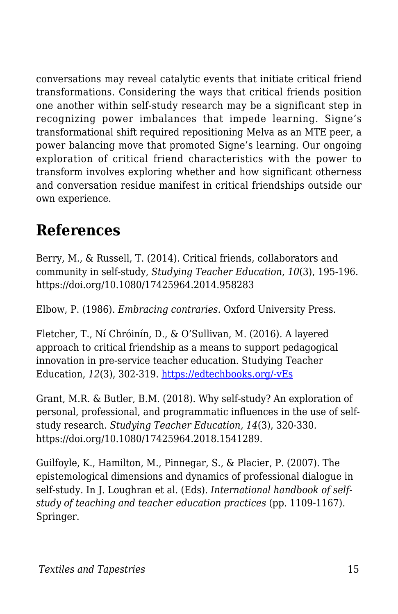conversations may reveal catalytic events that initiate critical friend transformations. Considering the ways that critical friends position one another within self-study research may be a significant step in recognizing power imbalances that impede learning. Signe's transformational shift required repositioning Melva as an MTE peer, a power balancing move that promoted Signe's learning. Our ongoing exploration of critical friend characteristics with the power to transform involves exploring whether and how significant otherness and conversation residue manifest in critical friendships outside our own experience.

# **References**

Berry, M., & Russell, T. (2014). Critical friends, collaborators and community in self-study, *Studying Teacher Education, 10*(3), 195-196. https://doi.org/10.1080/17425964.2014.958283

Elbow, P. (1986). *Embracing contraries.* Oxford University Press.

Fletcher, T., Ní Chróinín, D., & O'Sullivan, M. (2016). A layered approach to critical friendship as a means to support pedagogical innovation in pre-service teacher education. Studying Teacher Education, *12*(3), 302-319. [https://edtechbooks.org/-vEs](https://doi.org/10.1080/17425964.2016.1228049)

Grant, M.R. & Butler, B.M. (2018). Why self-study? An exploration of personal, professional, and programmatic influences in the use of selfstudy research. *Studying Teacher Education, 14*(3), 320-330. https://doi.org/10.1080/17425964.2018.1541289.

Guilfoyle, K., Hamilton, M., Pinnegar, S., & Placier, P. (2007). The epistemological dimensions and dynamics of professional dialogue in self-study. In J. Loughran et al. (Eds). *International handbook of selfstudy of teaching and teacher education practices* (pp. 1109-1167). Springer.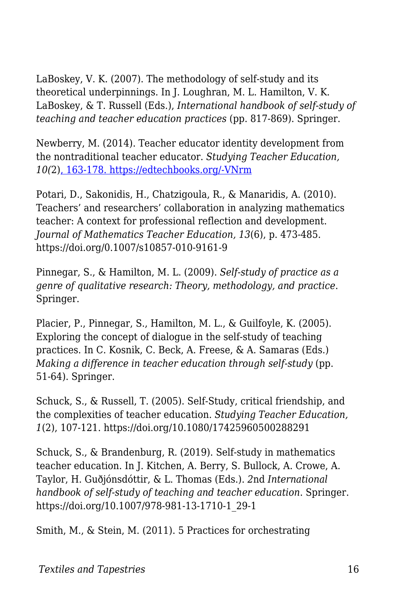LaBoskey, V. K. (2007). The methodology of self-study and its theoretical underpinnings. In J. Loughran, M. L. Hamilton, V. K. LaBoskey, & T. Russell (Eds.), *International handbook of self-study of teaching and teacher education practices* (pp. 817-869). Springer.

Newberry, M. (2014). Teacher educator identity development from the nontraditional teacher educator. *Studying Teacher Education, 10(*2[\), 163-178. https://edtechbooks.org/-VNrm](https://doi.org/10.1080/17425964.2014.903834)

Potari, D., Sakonidis, H., Chatzigoula, R., & Manaridis, A. (2010). Teachers' and researchers' collaboration in analyzing mathematics teacher: A context for professional reflection and development. *Journal of Mathematics Teacher Education, 13*(6), p. 473-485. https://doi.org/0.1007/s10857-010-9161-9

Pinnegar, S., & Hamilton, M. L. (2009). *Self-study of practice as a genre of qualitative research: Theory, methodology, and practice*. Springer.

Placier, P., Pinnegar, S., Hamilton, M. L., & Guilfoyle, K. (2005). Exploring the concept of dialogue in the self-study of teaching practices. In C. Kosnik, C. Beck, A. Freese, & A. Samaras (Eds.) *Making a difference in teacher education through self-study* (pp. 51-64). Springer.

Schuck, S., & Russell, T. (2005). Self-Study, critical friendship, and the complexities of teacher education. *Studying Teacher Education, 1*(2), 107-121. https://doi.org/10.1080/17425960500288291

Schuck, S., & Brandenburg, R. (2019). Self-study in mathematics teacher education. In J. Kitchen, A. Berry, S. Bullock, A. Crowe, A. Taylor, H. Guðjónsdóttir, & L. Thomas (Eds.). *2*nd *International handbook of self-study of teaching and teacher education*. Springer. https://doi.org/10.1007/978-981-13-1710-1\_29-1

Smith, M., & Stein, M. (2011). 5 Practices for orchestrating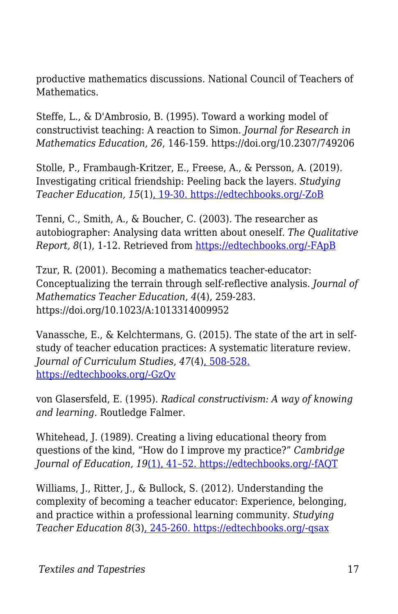productive mathematics discussions. National Council of Teachers of Mathematics.

Steffe, L., & D'Ambrosio, B. (1995). Toward a working model of constructivist teaching: A reaction to Simon. *Journal for Research in Mathematics Education, 26*, 146-159. https://doi.org/10.2307/749206

Stolle, P., Frambaugh-Kritzer, E., Freese, A., & Persson, A. (2019). Investigating critical friendship: Peeling back the layers. *Studying Teacher Education, 15*(1[\), 19-30. https://edtechbooks.org/-ZoB](https://doi.org/10.1080/17425964.2019.1580010)

Tenni, C., Smith, A., & Boucher, C. (2003). The researcher as autobiographer: Analysing data written about oneself. *The Qualitative Report, 8*(1), 1-12. Retrieved from [https://edtechbooks.org/-FApB](https://nsuworks.nova.edu/tqr/vol8/iss1/1ssss/QR/QR8-1/tenni.html)

Tzur, R. (2001). Becoming a mathematics teacher-educator: Conceptualizing the terrain through self-reflective analysis. *Journal of Mathematics Teacher Education*, *4*(4), 259-283. https://doi.org/10.1023/A:1013314009952

Vanassche, E., & Kelchtermans, G. (2015). The state of the art in selfstudy of teacher education practices: A systematic literature review. *Journal of Curriculum Studies*, *47*(4)[, 508-528.](https://doi.org/10.1080/00220272.2014.995712) [https://edtechbooks.org/-GzQv](https://doi.org/10.1080/00220272.2014.995712)

von Glasersfeld, E. (1995). *Radical constructivism: A way of knowing and learning.* Routledge Falmer.

Whitehead, J. (1989). Creating a living educational theory from questions of the kind, "How do I improve my practice?" *Cambridge Journal of Education, 19*[\(1\), 41–52. https://edtechbooks.org/-fAQT](https://doi.org/10.1080/0305764890190106)

Williams, J., Ritter, J., & Bullock, S. (2012). Understanding the complexity of becoming a teacher educator: Experience, belonging, and practice within a professional learning community. *Studying Teacher Education 8*(3)[, 245-260. https://edtechbooks.org/-qsax](https://doi.org/10.1080/17425964.2012.719130)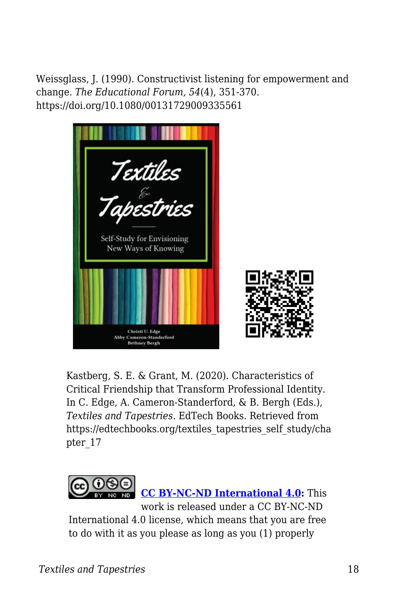Weissglass, J. (1990). Constructivist listening for empowerment and change. *The Educational Forum, 54*(4), 351-370. https://doi.org/10.1080/00131729009335561



Kastberg, S. E. & Grant, M. (2020). Characteristics of Critical Friendship that Transform Professional Identity. In C. Edge, A. Cameron-Standerford, & B. Bergh (Eds.), *Textiles and Tapestries*. EdTech Books. Retrieved from https://edtechbooks.org/textiles\_tapestries\_self\_study/cha pter\_17



**[CC BY-NC-ND International 4.0:](https://creativecommons.org/licenses/by-nc-nd/4.0/)** This work is released under a CC BY-NC-ND International 4.0 license, which means that you are free to do with it as you please as long as you (1) properly